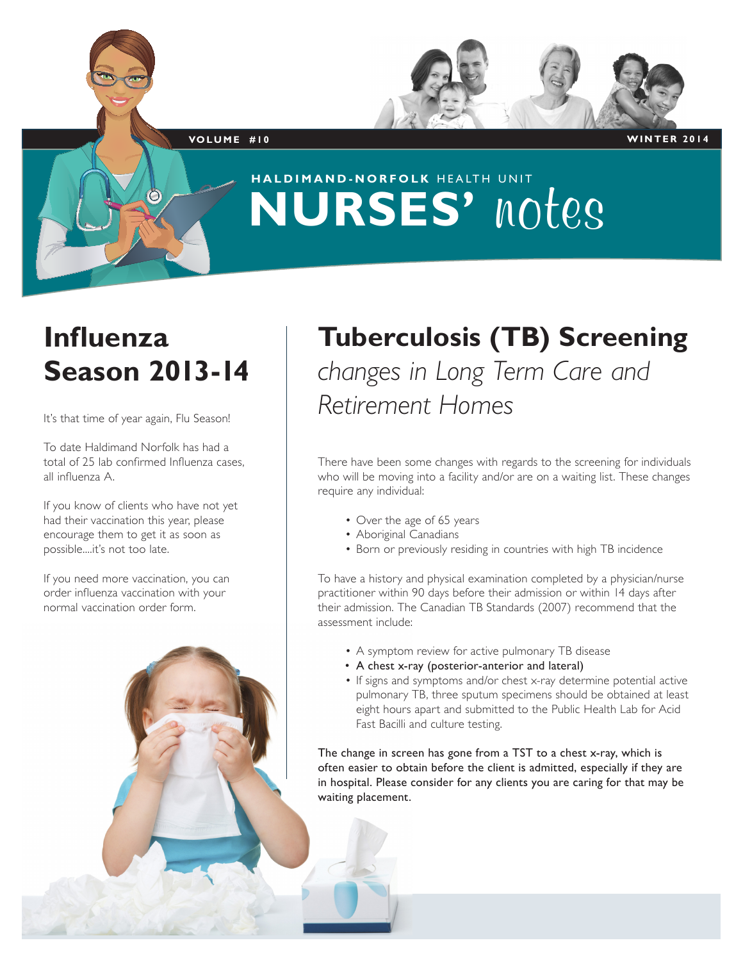

**HALDIMAND-NORFOLK** HEALTH UNIT **NURSES' notes**

### **Influenza Season 2013-14**

It's that time of year again, Flu Season!

To date Haldimand Norfolk has had a total of 25 lab confirmed Influenza cases, all influenza A.

If you know of clients who have not yet had their vaccination this year, please encourage them to get it as soon as possible....it's not too late.

If you need more vaccination, you can order influenza vaccination with your normal vaccination order form.

### **Tuberculosis (TB) Screening** *changes in Long Term Care and Retirement Homes*

There have been some changes with regards to the screening for individuals who will be moving into a facility and/or are on a waiting list. These changes require any individual:

- Over the age of 65 years
- Aboriginal Canadians
- Born or previously residing in countries with high TB incidence

To have a history and physical examination completed by a physician/nurse practitioner within 90 days before their admission or within 14 days after their admission. The Canadian TB Standards (2007) recommend that the assessment include:

- A symptom review for active pulmonary TB disease
- A chest x-ray (posterior-anterior and lateral)
- If signs and symptoms and/or chest x-ray determine potential active pulmonary TB, three sputum specimens should be obtained at least eight hours apart and submitted to the Public Health Lab for Acid Fast Bacilli and culture testing.

The change in screen has gone from a TST to a chest x-ray, which is often easier to obtain before the client is admitted, especially if they are in hospital. Please consider for any clients you are caring for that may be waiting placement.